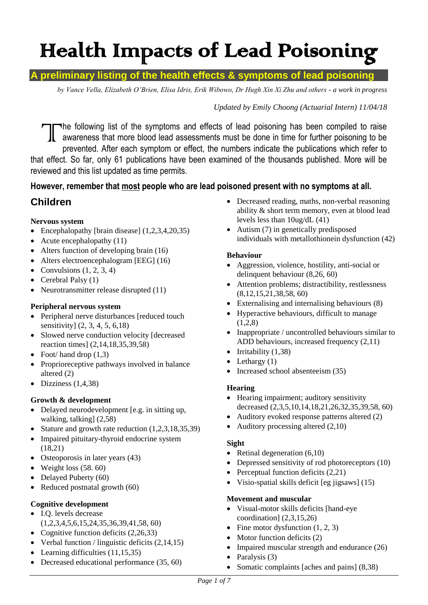# Health Impacts of Lead Poisoning

## **A preliminary listing of the health effects & symptoms of lead poisoning**

*by Vance Vella, Elizabeth O'Brien, Elisa Idris, Erik Wibowo, Dr Hugh Xin Xi Zhu and others - a work in progress*

#### *Updated by Emily Choong (Actuarial Intern) 11/04/18*

he following list of the symptoms and effects of lead poisoning has been compiled to raise awareness that more blood lead assessments must be done in time for further poisoning to be prevented. After each symptom or effect, the numbers indicate the publications which refer to that effect. So far, only 61 publications have been examined of the thousands published. More will be reviewed and this list updated as time permits.  $\int$ 

## **However, remember that most people who are lead poisoned present with no symptoms at all.**

## **Children**

#### **Nervous system**

- Encephalopathy [brain disease] (1,2,3,4,20,35)
- Acute encephalopathy  $(11)$
- Alters function of developing brain (16)
- Alters electroencephalogram [EEG] (16)
- Convulsions  $(1, 2, 3, 4)$
- Cerebral Palsy  $(1)$
- Neurotransmitter release disrupted (11)

#### **Peripheral nervous system**

- Peripheral nerve disturbances [reduced touch sensitivity] (2, 3, 4, 5, 6,18)
- Slowed nerve conduction velocity [decreased] reaction times] (2,14,18,35,39,58)
- Foot/ hand drop  $(1,3)$
- Proprioreceptive pathways involved in balance altered (2)
- $\bullet$  Dizziness (1,4,38)

#### **Growth & development**

- Delayed neurodevelopment [e.g. in sitting up, walking, talking] (2,58)
- Stature and growth rate reduction  $(1,2,3,18,35,39)$
- Impaired pituitary-thyroid endocrine system (18,21)
- Osteoporosis in later years (43)
- $\bullet$  Weight loss (58. 60)
- Delayed Puberty (60)
- Reduced postnatal growth (60)

#### **Cognitive development**

- I.Q. levels decrease
- (1,2,3,4,5,6,15,24,35,36,39,41,58, 60)
- Cognitive function deficits  $(2,26,33)$
- Verbal function / linguistic deficits  $(2,14,15)$
- Learning difficulties  $(11, 15, 35)$
- Decreased educational performance (35, 60)
- Decreased reading, maths, non-verbal reasoning ability & short term memory, even at blood lead levels less than 10ug/dL (41)
- Autism (7) in genetically predisposed individuals with metallothionein dysfunction (42)

#### **Behaviour**

- Aggression, violence, hostility, anti-social or delinquent behaviour (8,26, 60)
- Attention problems; distractibility, restlessness (8,12,15,21,38,58, 60)
- Externalising and internalising behaviours (8)
- Hyperactive behaviours, difficult to manage  $(1,2,8)$
- Inappropriate / uncontrolled behaviours similar to ADD behaviours, increased frequency (2,11)
- $\bullet$  Irritability (1,38)
- Lethargy (1)
- Increased school absenteeism (35)

#### **Hearing**

- Hearing impairment; auditory sensitivity decreased (2,3,5,10,14,18,21,26,32,35,39,58, 60)
- Auditory evoked response patterns altered (2)
- Auditory processing altered (2,10)

#### **Sight**

- Retinal degeneration  $(6,10)$
- Depressed sensitivity of rod photoreceptors (10)
- Perceptual function deficits  $(2,21)$
- Visio-spatial skills deficit [eg jigsaws] (15)

#### **Movement and muscular**

- Visual-motor skills deficits [hand-eye coordination] (2,3,15,26)
- Fine motor dysfunction  $(1, 2, 3)$
- $\bullet$  Motor function deficits (2)
- Impaired muscular strength and endurance  $(26)$
- Paralysis (3)
- Somatic complaints [aches and pains] (8,38)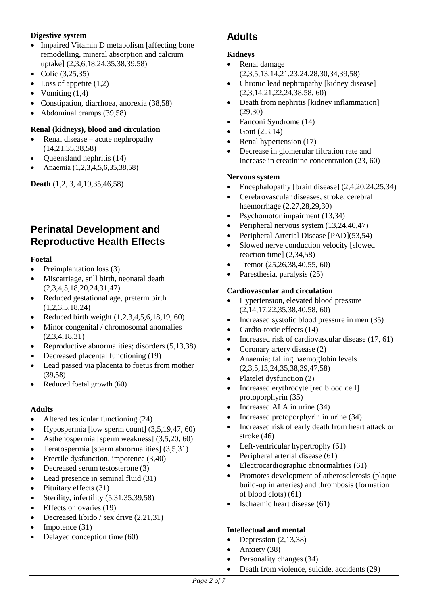#### **Digestive system**

- Impaired Vitamin D metabolism [affecting bone] remodelling, mineral absorption and calcium uptake] (2,3,6,18,24,35,38,39,58)
- Colic  $(3, 25, 35)$
- Loss of appetite  $(1,2)$
- Vomiting  $(1,4)$
- Constipation, diarrhoea, anorexia (38,58)
- Abdominal cramps (39,58)

#### **Renal (kidneys), blood and circulation**

- Renal disease acute nephropathy (14,21,35,38,58)
- Queensland nephritis (14)
- Anaemia (1,2,3,4,5,6,35,38,58)

**Death** (1,2, 3, 4,19,35,46,58)

# **Perinatal Development and Reproductive Health Effects**

#### **Foetal**

- Preimplantation loss  $(3)$
- Miscarriage, still birth, neonatal death (2,3,4,5,18,20,24,31,47)
- Reduced gestational age, preterm birth (1,2,3,5,18,24)
- Reduced birth weight  $(1,2,3,4,5,6,18,19, 60)$
- Minor congenital / chromosomal anomalies (2,3,4,18,31)
- Reproductive abnormalities; disorders  $(5,13,38)$
- Decreased placental functioning (19)
- Lead passed via placenta to foetus from mother (39,58)
- Reduced foetal growth (60)

#### **Adults**

- Altered testicular functioning (24)
- $\bullet$  Hypospermia [low sperm count] (3,5,19,47, 60)
- Asthenospermia [sperm weakness] (3,5,20, 60)
- Teratospermia [sperm abnormalities]  $(3,5,31)$
- Erectile dysfunction, impotence  $(3,40)$
- Decreased serum testosterone (3)
- Lead presence in seminal fluid (31)
- $\bullet$  Pituitary effects (31)
- Sterility, infertility  $(5,31,35,39,58)$
- $\bullet$  Effects on ovaries (19)
- Decreased libido / sex drive  $(2,21,31)$
- $\bullet$  Impotence (31)
- Delayed conception time (60)

# **Adults**

### **Kidneys**

- Renal damage (2,3,5,13,14,21,23,24,28,30,34,39,58)
- Chronic lead nephropathy [kidney disease] (2,3,14,21,22,24,38,58, 60)
- Death from nephritis [kidney inflammation] (29,30)
- Fanconi Syndrome (14)
- Gout (2,3,14)
- Renal hypertension (17)
- Decrease in glomerular filtration rate and Increase in creatinine concentration (23, 60)

#### **Nervous system**

- Encephalopathy [brain disease]  $(2,4,20,24,25,34)$
- Cerebrovascular diseases, stroke, cerebral haemorrhage (2,27,28,29,30)
- Psychomotor impairment (13,34)
- Peripheral nervous system (13,24,40,47)
- Peripheral Arterial Disease [PAD](53,54)
- Slowed nerve conduction velocity [slowed] reaction time] (2,34,58)
- Tremor  $(25, 26, 38, 40, 55, 60)$
- Paresthesia, paralysis (25)

#### **Cardiovascular and circulation**

- Hypertension, elevated blood pressure (2,14,17,22,35,38,40,58, 60)
- Increased systolic blood pressure in men (35)
- Cardio-toxic effects (14)
- Increased risk of cardiovascular disease  $(17, 61)$
- Coronary artery disease (2)
- Anaemia; falling haemoglobin levels (2,3,5,13,24,35,38,39,47,58)
- Platelet dysfunction (2)
- Increased erythrocyte [red blood cell] protoporphyrin (35)
- Increased ALA in urine (34)
- Increased protoporphyrin in urine (34)
- Increased risk of early death from heart attack or stroke (46)
- Left-ventricular hypertrophy (61)
- Peripheral arterial disease (61)
- Electrocardiographic abnormalities (61)
- Promotes development of atherosclerosis (plaque build-up in arteries) and thrombosis (formation of blood clots) (61)
- Ischaemic heart disease (61)

#### **Intellectual and mental**

- $\bullet$  Depression (2,13,38)
- Anxiety  $(38)$
- Personality changes (34)
- Death from violence, suicide, accidents (29)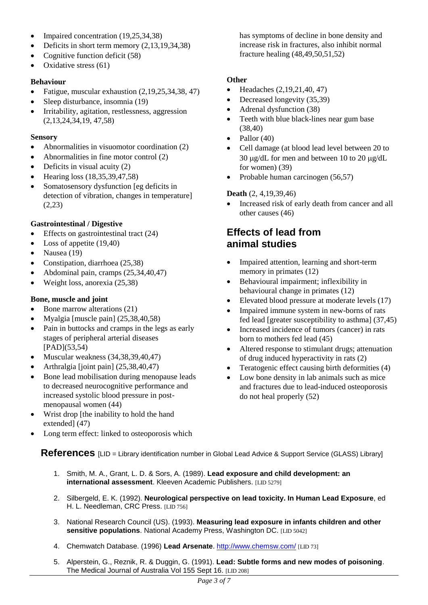- Impaired concentration  $(19,25,34,38)$
- $\bullet$  Deficits in short term memory  $(2,13,19,34,38)$
- Cognitive function deficit  $(58)$
- Oxidative stress  $(61)$

#### **Behaviour**

- Fatigue, muscular exhaustion  $(2,19,25,34,38,47)$
- Sleep disturbance, insomnia (19)
- Irritability, agitation, restlessness, aggression (2,13,24,34,19, 47,58)

#### **Sensory**

- Abnormalities in visuomotor coordination (2)
- Abnormalities in fine motor control (2)
- $\bullet$  Deficits in visual acuity (2)
- Hearing loss  $(18, 35, 39, 47, 58)$
- Somatosensory dysfunction [eg deficits in detection of vibration, changes in temperature] (2,23)

#### **Gastrointestinal / Digestive**

- $\bullet$  Effects on gastrointestinal tract (24)
- $\bullet$  Loss of appetite (19,40)
- $\bullet$  Nausea (19)
- Constipation, diarrhoea (25,38)
- $\bullet$  Abdominal pain, cramps  $(25,34,40,47)$
- $\bullet$  Weight loss, anorexia (25,38)

#### **Bone, muscle and joint**

- Bone marrow alterations (21)
- Myalgia [muscle pain]  $(25,38,40,58)$
- Pain in buttocks and cramps in the legs as early stages of peripheral arterial diseases [PAD](53,54)
- $\bullet$  Muscular weakness (34,38,39,40,47)
- Arthralgia [joint pain]  $(25,38,40,47)$
- Bone lead mobilisation during menopause leads to decreased neurocognitive performance and increased systolic blood pressure in postmenopausal women (44)
- Wrist drop [the inability to hold the hand extended] (47)
- Long term effect: linked to osteoporosis which

has symptoms of decline in bone density and increase risk in fractures, also inhibit normal fracture healing (48,49,50,51,52)

#### **Other**

- $\bullet$  Headaches  $(2,19,21,40,47)$
- Decreased longevity (35,39)
- Adrenal dysfunction (38)
- Teeth with blue black-lines near gum base (38,40)
- $\bullet$  Pallor (40)
- Cell damage (at blood lead level between 20 to 30  $\mu$ g/dL for men and between 10 to 20  $\mu$ g/dL for women) (39)
- Probable human carcinogen (56,57)

#### **Death** (2, 4,19,39,46)

 Increased risk of early death from cancer and all other causes (46)

# **Effects of lead from animal studies**

- Impaired attention, learning and short-term memory in primates (12)
- Behavioural impairment; inflexibility in behavioural change in primates (12)
- Elevated blood pressure at moderate levels (17)
- Impaired immune system in new-borns of rats fed lead [greater susceptibility to asthma] (37,45)
- Increased incidence of tumors (cancer) in rats born to mothers fed lead (45)
- Altered response to stimulant drugs; attenuation of drug induced hyperactivity in rats (2)
- Teratogenic effect causing birth deformities (4)
- Low bone density in lab animals such as mice and fractures due to lead-induced osteoporosis do not heal properly (52)

**References** [LID = Library identification number in Global Lead Advice & Support Service (GLASS) Library]

- 1. Smith, M. A., Grant, L. D. & Sors, A. (1989). **Lead exposure and child development: an international assessment**. Kleeven Academic Publishers. [LID 5279]
- 2. Silbergeld, E. K. (1992). **Neurological perspective on lead toxicity. In Human Lead Exposure**, ed H. L. Needleman, CRC Press. [LID 756]
- 3. National Research Council (US). (1993). **Measuring lead exposure in infants children and other sensitive populations**. National Academy Press, Washington DC. [LID 5042]
- 4. Chemwatch Database. (1996) **Lead Arsenate**.<http://www.chemsw.com/> [LID 73]
- 5. Alperstein, G., Reznik, R. & Duggin, G. (1991). **Lead: Subtle forms and new modes of poisoning**. The Medical Journal of Australia Vol 155 Sept 16. [LID 208]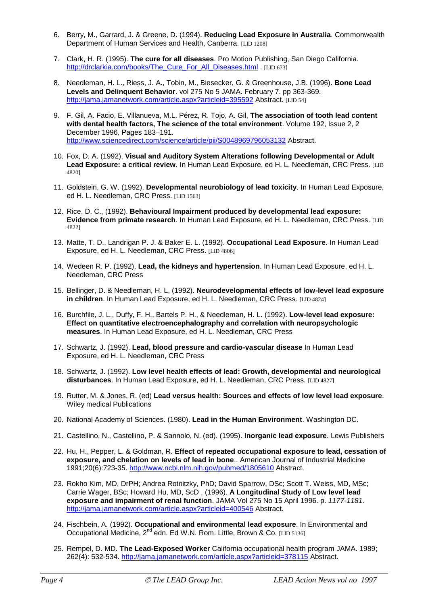- 6. Berry, M., Garrard, J. & Greene, D. (1994). **Reducing Lead Exposure in Australia**. Commonwealth Department of Human Services and Health, Canberra. [LID 1208]
- 7. Clark, H. R. (1995). **The cure for all diseases**. Pro Motion Publishing, San Diego California. [http://drclarkia.com/books/The\\_Cure\\_For\\_All\\_Diseases.html](http://drclarkia.com/books/The_Cure_For_All_Diseases.html) . [LID 673]
- 8. Needleman, H. L., Riess, J. A., Tobin, M., Biesecker, G. & Greenhouse, J.B. (1996). **Bone Lead Levels and Delinquent Behavior**. vol 275 No 5 JAMA. February 7. pp 363-369. <http://jama.jamanetwork.com/article.aspx?articleid=395592> Abstract. [LID 54]
- 9. F. Gil, A. Facio, E. Villanueva, M.L. Pérez, R. Tojo, A. Gil, **The association of tooth lead content with dental health factors, The science of the total environment**. Volume 192, Issue 2, 2 December 1996, Pages 183–191. <http://www.sciencedirect.com/science/article/pii/S0048969796053132> Abstract.
- 10. Fox, D. A. (1992). **Visual and Auditory System Alterations following Developmental or Adult Lead Exposure: a critical review**. In Human Lead Exposure, ed H. L. Needleman, CRC Press. [LID 4820]
- 11. Goldstein, G. W. (1992). **Developmental neurobiology of lead toxicity**. In Human Lead Exposure, ed H. L. Needleman, CRC Press. [LID 1563]
- 12. Rice, D. C., (1992). **Behavioural Impairment produced by developmental lead exposure: Evidence from primate research**. In Human Lead Exposure, ed H. L. Needleman, CRC Press. [LID 4822]
- 13. Matte, T. D., Landrigan P. J. & Baker E. L. (1992). **Occupational Lead Exposure**. In Human Lead Exposure, ed H. L. Needleman, CRC Press. [LID 4806]
- 14. Wedeen R. P. (1992). **Lead, the kidneys and hypertension**. In Human Lead Exposure, ed H. L. Needleman, CRC Press
- 15. Bellinger, D. & Needleman, H. L. (1992). **Neurodevelopmental effects of low-level lead exposure in children**. In Human Lead Exposure, ed H. L. Needleman, CRC Press. [LID 4824]
- 16. Burchfile, J. L., Duffy, F. H., Bartels P. H., & Needleman, H. L. (1992). **Low-level lead exposure: Effect on quantitative electroencephalography and correlation with neuropsychologic measures**. In Human Lead Exposure, ed H. L. Needleman, CRC Press
- 17. Schwartz, J. (1992). **Lead, blood pressure and cardio-vascular disease** In Human Lead Exposure, ed H. L. Needleman, CRC Press
- 18. Schwartz, J. (1992). **Low level health effects of lead: Growth, developmental and neurological disturbances**. In Human Lead Exposure, ed H. L. Needleman, CRC Press. [LID 4827]
- 19. Rutter, M. & Jones, R. (ed) **Lead versus health: Sources and effects of low level lead exposure**. Wiley medical Publications
- 20. National Academy of Sciences. (1980). **Lead in the Human Environment**. Washington DC.
- 21. Castellino, N., Castellino, P. & Sannolo, N. (ed). (1995). **Inorganic lead exposure**. Lewis Publishers
- 22. Hu, H., Pepper, L. & Goldman, R. **Effect of repeated occupational exposure to lead, cessation of exposure, and chelation on levels of lead in bone**.. American Journal of Industrial Medicine 1991;20(6):723-35.<http://www.ncbi.nlm.nih.gov/pubmed/1805610> Abstract.
- 23. Rokho Kim, MD, DrPH; Andrea Rotnitzky, PhD; David Sparrow, DSc; Scott T. Weiss, MD, MSc; Carrie Wager, BSc; Howard Hu, MD, ScD . (1996). **A Longitudinal Study of Low level lead exposure and impairment of renal function**. JAMA Vol 275 No 15 April 1996. p. *1177-1181*. <http://jama.jamanetwork.com/article.aspx?articleid=400546> Abstract.
- 24. Fischbein, A. (1992). **Occupational and environmental lead exposure**. In Environmental and Occupational Medicine, 2<sup>nd</sup> edn. Ed W.N. Rom. Little, Brown & Co. [LID 5136]
- 25. Rempel, D. MD. **The Lead-Exposed Worker** California occupational health program JAMA. 1989; 262(4): 532-534.<http://jama.jamanetwork.com/article.aspx?articleid=378115> Abstract.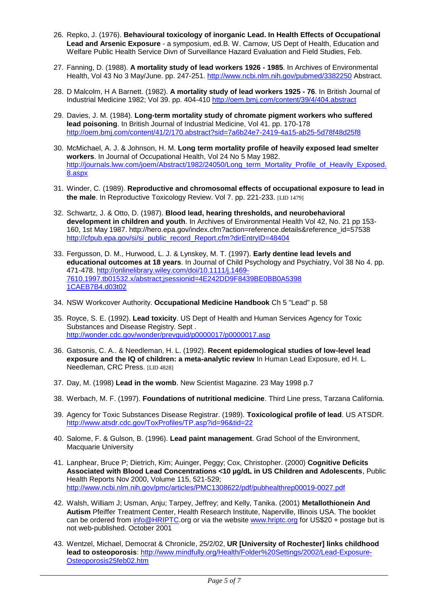- 26. Repko, J. (1976). **Behavioural toxicology of inorganic Lead. In Health Effects of Occupational Lead and Arsenic Exposure** - a symposium, ed.B. W. Carnow, US Dept of Health, Education and Welfare Public Health Service Divn of Surveillance Hazard Evaluation and Field Studies, Feb.
- 27. Fanning, D. (1988). **A mortality study of lead workers 1926 - 1985**. In Archives of Environmental Health, Vol 43 No 3 May/June. pp. 247-251.<http://www.ncbi.nlm.nih.gov/pubmed/3382250> Abstract.
- 28. D Malcolm, H A Barnett. (1982). **A mortality study of lead workers 1925 - 76**. In British Journal of Industrial Medicine 1982; Vol 39. pp. 404-410<http://oem.bmj.com/content/39/4/404.abstract>
- 29. Davies, J. M. (1984). **Long-term mortality study of chromate pigment workers who suffered lead poisoning**. In British Journal of Industrial Medicine, Vol 41. pp. 170-178 <http://oem.bmj.com/content/41/2/170.abstract?sid=7a6b24e7-2419-4a15-ab25-5d78f48d25f8>
- 30. McMichael, A. J. & Johnson, H. M. **Long term mortality profile of heavily exposed lead smelter workers**. In Journal of Occupational Health, Vol 24 No 5 May 1982. [http://journals.lww.com/joem/Abstract/1982/24050/Long\\_term\\_Mortality\\_Profile\\_of\\_Heavily\\_Exposed.](http://journals.lww.com/joem/Abstract/1982/24050/Long_term_Mortality_Profile_of_Heavily_Exposed.8.aspx) [8.aspx](http://journals.lww.com/joem/Abstract/1982/24050/Long_term_Mortality_Profile_of_Heavily_Exposed.8.aspx)
- 31. Winder, C. (1989). **Reproductive and chromosomal effects of occupational exposure to lead in the male**. In Reproductive Toxicology Review. Vol 7. pp. 221-233. [LID 1479]
- 32. Schwartz, J. & Otto, D. (1987). **Blood lead, hearing thresholds, and neurobehavioral development in children and youth**. In Archives of Environmental Health Vol 42, No. 21 pp 153- 160, 1st May 1987. http://hero.epa.gov/index.cfm?action=reference.details&reference\_id=57538 [http://cfpub.epa.gov/si/si\\_public\\_record\\_Report.cfm?dirEntryID=48404](http://cfpub.epa.gov/si/si_public_record_Report.cfm?dirEntryID=48404)
- 33. Fergusson, D. M., Hurwood, L. J. & Lynskey, M. T. (1997). **Early dentine lead levels and educational outcomes at 18 years**. In Journal of Child Psychology and Psychiatry, Vol 38 No 4. pp. 471-478[. http://onlinelibrary.wiley.com/doi/10.1111/j.1469-](http://onlinelibrary.wiley.com/doi/10.1111/j.1469-7610.1997.tb01532.x/abstract;jsessionid=4E242DD9F8439BE0BB0A53981CAEB7B4.d03t02) [7610.1997.tb01532.x/abstract;jsessionid=4E242DD9F8439BE0BB0A5398](http://onlinelibrary.wiley.com/doi/10.1111/j.1469-7610.1997.tb01532.x/abstract;jsessionid=4E242DD9F8439BE0BB0A53981CAEB7B4.d03t02) [1CAEB7B4.d03t02](http://onlinelibrary.wiley.com/doi/10.1111/j.1469-7610.1997.tb01532.x/abstract;jsessionid=4E242DD9F8439BE0BB0A53981CAEB7B4.d03t02)
- 34. NSW Workcover Authority. **Occupational Medicine Handbook** Ch 5 "Lead" p. 58
- 35. Royce, S. E. (1992). **Lead toxicity**. US Dept of Health and Human Services Agency for Toxic Substances and Disease Registry. Sept . <http://wonder.cdc.gov/wonder/prevguid/p0000017/p0000017.asp>
- 36. Gatsonis, C. A.. & Needleman, H. L. (1992). **Recent epidemological studies of low-level lead exposure and the IQ of children: a meta-analytic review** In Human Lead Exposure, ed H. L. Needleman, CRC Press. [LID 4828]
- 37. Day, M. (1998) **Lead in the womb**. New Scientist Magazine. 23 May 1998 p.7
- 38. Werbach, M. F. (1997). **Foundations of nutritional medicine**. Third Line press, Tarzana California.
- 39. Agency for Toxic Substances Disease Registrar. (1989). **Toxicological profile of lead**. US ATSDR. <http://www.atsdr.cdc.gov/ToxProfiles/TP.asp?id=96&tid=22>
- 40. Salome, F. & Gulson, B. (1996). **Lead paint management**. Grad School of the Environment, Macquarie University
- 41. Lanphear, Bruce P; Dietrich, Kim; Auinger, Peggy; Cox, Christopher. (2000) **Cognitive Deficits Associated with Blood Lead Concentrations <10 µg/dL in US Children and Adolescents**, Public Health Reports Nov 2000, Volume 115, 521-529; <http://www.ncbi.nlm.nih.gov/pmc/articles/PMC1308622/pdf/pubhealthrep00019-0027.pdf>
- 42. Walsh, William J; Usman, Anju; Tarpey, Jeffrey; and Kelly, Tanika. (2001) **Metallothionein And Autism** Pfeiffer Treatment Center, Health Research Institute, Naperville, Illinois USA. The booklet can be ordered from [info@HRIPTC.](mailto:info@HRIPTC)org or via the websit[e www.hriptc.org](http://www.hriptc.org/) for US\$20 + postage but is not web-published. October 2001
- 43. Wentzel, Michael, Democrat & Chronicle, 25/2/02, **UR [University of Rochester] links childhood lead to osteoporosis**: [http://www.mindfully.org/Health/Folder%20Settings/2002/Lead-Exposure-](http://www.mindfully.org/Health/Folder%20Settings/2002/Lead-Exposure-Osteoporosis25feb02.htm)[Osteoporosis25feb02.htm](http://www.mindfully.org/Health/Folder%20Settings/2002/Lead-Exposure-Osteoporosis25feb02.htm)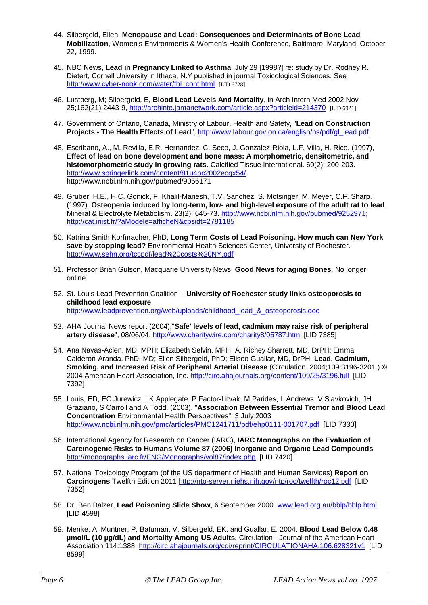- 44. Silbergeld, Ellen, **Menopause and Lead: Consequences and Determinants of Bone Lead Mobilization**, Women's Environments & Women's Health Conference, Baltimore, Maryland, October 22, 1999.
- 45. NBC News, **Lead in Pregnancy Linked to Asthma**, July 29 [1998?] re: study by Dr. Rodney R. Dietert, Cornell University in Ithaca, N.Y published in journal Toxicological Sciences. See [http://www.cyber-nook.com/water/tbl\\_cont.html](http://www.cyber-nook.com/water/tbl_cont.html) [LID 6728]
- 46. Lustberg, M; Silbergeld, E, **Blood Lead Levels And Mortality**, in Arch Intern Med 2002 Nov 25;162(21):2443-9,<http://archinte.jamanetwork.com/article.aspx?articleid=214370>[LID 6921]
- 47. Government of Ontario, Canada, Ministry of Labour, Health and Safety, "**Lead on Construction Projects - The Health Effects of Lead**", [http://www.labour.gov.on.ca/english/hs/pdf/gl\\_lead.pdf](http://www.labour.gov.on.ca/english/hs/pdf/gl_lead.pdf)
- 48. Escribano, A., M. Revilla, E.R. Hernandez, C. Seco, J. Gonzalez-Riola, L.F. Villa, H. Rico. (1997), **Effect of lead on bone development and bone mass: A morphometric, densitometric, and histomorphometric study in growing rats**. Calcified Tissue International. 60(2): 200-203. <http://www.springerlink.com/content/81u4pc2002ecgx54/> http://www.ncbi.nlm.nih.gov/pubmed/9056171
- 49. Gruber, H.E., H.C. Gonick, F. Khalil-Manesh, T.V. Sanchez, S. Motsinger, M. Meyer, C.F. Sharp. (1997). **Osteopenia induced by long-term, low- and high-level exposure of the adult rat to lead**. Mineral & Electrolyte Metabolism. 23(2): 645-73. [http://www.ncbi.nlm.nih.gov/pubmed/9252971;](http://www.ncbi.nlm.nih.gov/pubmed/9252971) <http://cat.inist.fr/?aModele=afficheN&cpsidt=2781185>
- 50. Katrina Smith Korfmacher, PhD, **Long Term Costs of Lead Poisoning. How much can New York save by stopping lead?** Environmental Health Sciences Center, University of Rochester. <http://www.sehn.org/tccpdf/lead%20costs%20NY.pdf>
- 51. Professor Brian Gulson, Macquarie University News, **Good News for aging Bones**, No longer online.
- 52. St. Louis Lead Prevention Coalition **University of Rochester study links osteoporosis to childhood lead exposure**, [http://www.leadprevention.org/web/uploads/childhood\\_lead\\_&\\_osteoporosis.doc](http://www.leadprevention.org/web/uploads/childhood_lead_&_osteoporosis.doc)
- 53. AHA Journal News report (2004),"**Safe' levels of lead, cadmium may raise risk of peripheral artery disease**", 08/06/04.<http://www.charitywire.com/charity8/05787.html> [LID 7385]
- 54. Ana Navas-Acien, MD, MPH; Elizabeth Selvin, MPH; A. Richey Sharrett, MD, DrPH; Emma Calderon-Aranda, PhD, MD; Ellen Silbergeld, PhD; Eliseo Guallar, MD, DrPH. **Lead, Cadmium, Smoking, and Increased Risk of Peripheral Arterial Disease** (Circulation. 2004;109:3196-3201.) © 2004 American Heart Association, Inc.<http://circ.ahajournals.org/content/109/25/3196.full>[LID 7392]
- 55. Louis, ED, EC Jurewicz, LK Applegate, P Factor-Litvak, M Parides, L Andrews, V Slavkovich, JH Graziano, S Carroll and A Todd. (2003). "**Association Between Essential Tremor and Blood Lead Concentration** Environmental Health Perspectives", 3 July 2003 <http://www.ncbi.nlm.nih.gov/pmc/articles/PMC1241711/pdf/ehp0111-001707.pdf>[LID 7330]
- 56. International Agency for Research on Cancer (IARC), **IARC Monographs on the Evaluation of Carcinogenic Risks to Humans Volume 87 (2006) Inorganic and Organic Lead Compounds** <http://monographs.iarc.fr/ENG/Monographs/vol87/index.php>[LID 7420]
- 57. National Toxicology Program (of the US department of Health and Human Services) **Report on**  Carcinogens Twelfth Edition 2011<http://ntp-server.niehs.nih.gov/ntp/roc/twelfth/roc12.pdf>[LID 7352]
- 58. Dr. Ben Balzer, **Lead Poisoning Slide Show**, 6 September 2000 [www.lead.org.au/bblp/bblp.html](http://www.lead.org.au/bblp/bblp.html) [LID 4598]
- 59. Menke, A, Muntner, P, Batuman, V, Silbergeld, EK, and Guallar, E. 2004. **Blood Lead Below 0.48 µmol/L (10 µg/dL) and Mortality Among US Adults.** Circulation - Journal of the American Heart Association 114:1388.<http://circ.ahajournals.org/cgi/reprint/CIRCULATIONAHA.106.628321v1>[LID 8599]